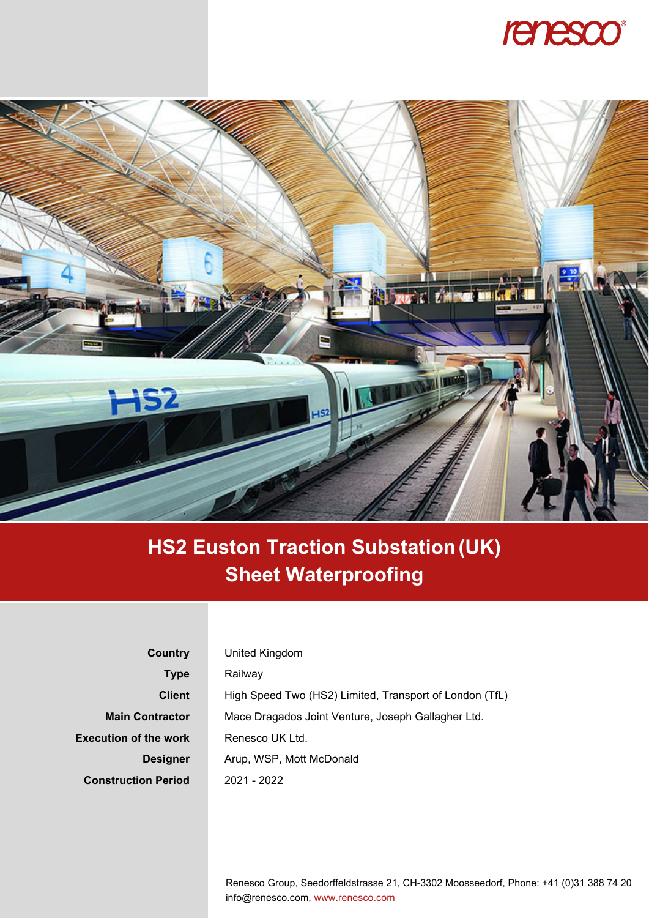



## **HS2 Euston Traction Substation (UK) Sheet Waterproofing**

| Country                      | United Kingdom                                          |
|------------------------------|---------------------------------------------------------|
| <b>Type</b>                  | Railway                                                 |
| <b>Client</b>                | High Speed Two (HS2) Limited, Transport of London (TfL) |
| <b>Main Contractor</b>       | Mace Dragados Joint Venture, Joseph Gallagher Ltd.      |
| <b>Execution of the work</b> | Renesco UK Ltd.                                         |
| <b>Designer</b>              | Arup, WSP, Mott McDonald                                |
| <b>Construction Period</b>   | $2021 - 2022$                                           |